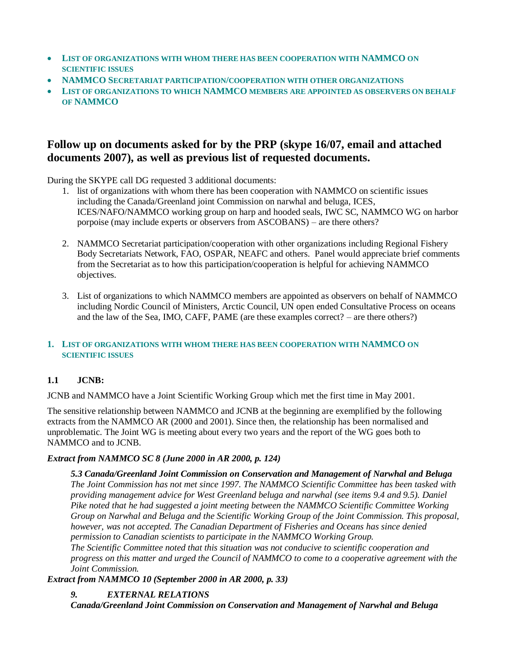- **LIST OF ORGANIZATIONS WITH WHOM THERE HAS BEEN COOPERATION WITH NAMMCO ON SCIENTIFIC ISSUES**
- **NAMMCO SECRETARIAT PARTICIPATION/COOPERATION WITH OTHER ORGANIZATIONS**
- **LIST OF ORGANIZATIONS TO WHICH NAMMCO MEMBERS ARE APPOINTED AS OBSERVERS ON BEHALF OF NAMMCO**

# **Follow up on documents asked for by the PRP (skype 16/07, email and attached documents 2007), as well as previous list of requested documents.**

During the SKYPE call DG requested 3 additional documents:

- 1. list of organizations with whom there has been cooperation with NAMMCO on scientific issues including the Canada/Greenland joint Commission on narwhal and beluga, ICES, ICES/NAFO/NAMMCO working group on harp and hooded seals, IWC SC, NAMMCO WG on harbor porpoise (may include experts or observers from ASCOBANS) – are there others?
- 2. NAMMCO Secretariat participation/cooperation with other organizations including Regional Fishery Body Secretariats Network, FAO, OSPAR, NEAFC and others. Panel would appreciate brief comments from the Secretariat as to how this participation/cooperation is helpful for achieving NAMMCO objectives.
- 3. List of organizations to which NAMMCO members are appointed as observers on behalf of NAMMCO including Nordic Council of Ministers, Arctic Council, UN open ended Consultative Process on oceans and the law of the Sea, IMO, CAFF, PAME (are these examples correct? – are there others?)

### **1. LIST OF ORGANIZATIONS WITH WHOM THERE HAS BEEN COOPERATION WITH NAMMCO ON SCIENTIFIC ISSUES**

# **1.1 JCNB:**

JCNB and NAMMCO have a Joint Scientific Working Group which met the first time in May 2001.

The sensitive relationship between NAMMCO and JCNB at the beginning are exemplified by the following extracts from the NAMMCO AR (2000 and 2001). Since then, the relationship has been normalised and unproblematic. The Joint WG is meeting about every two years and the report of the WG goes both to NAMMCO and to JCNB.

### *Extract from NAMMCO SC 8 (June 2000 in AR 2000, p. 124)*

*5.3 Canada/Greenland Joint Commission on Conservation and Management of Narwhal and Beluga The Joint Commission has not met since 1997. The NAMMCO Scientific Committee has been tasked with providing management advice for West Greenland beluga and narwhal (see items 9.4 and 9.5). Daniel Pike noted that he had suggested a joint meeting between the NAMMCO Scientific Committee Working Group on Narwhal and Beluga and the Scientific Working Group of the Joint Commission. This proposal, however, was not accepted. The Canadian Department of Fisheries and Oceans has since denied permission to Canadian scientists to participate in the NAMMCO Working Group. The Scientific Committee noted that this situation was not conducive to scientific cooperation and progress on this matter and urged the Council of NAMMCO to come to a cooperative agreement with the Joint Commission.*

*Extract from NAMMCO 10 (September 2000 in AR 2000, p. 33)*

## *9. EXTERNAL RELATIONS*

*Canada/Greenland Joint Commission on Conservation and Management of Narwhal and Beluga*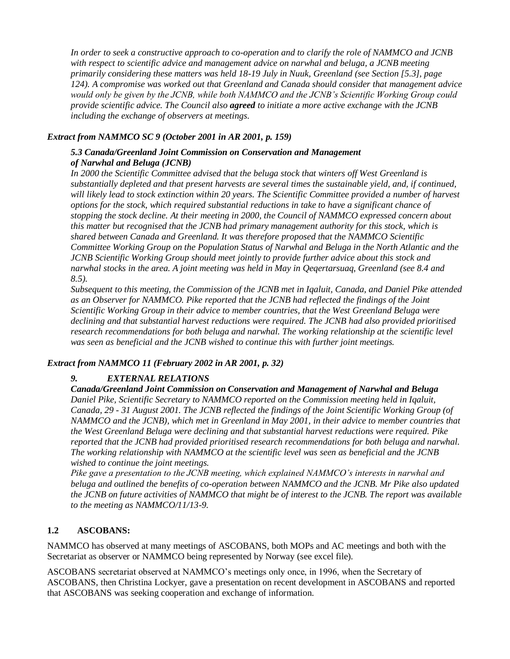*In order to seek a constructive approach to co-operation and to clarify the role of NAMMCO and JCNB with respect to scientific advice and management advice on narwhal and beluga, a JCNB meeting primarily considering these matters was held 18-19 July in Nuuk, Greenland (see Section [5.3], page 124). A compromise was worked out that Greenland and Canada should consider that management advice would only be given by the JCNB, while both NAMMCO and the JCNB's Scientific Working Group could provide scientific advice. The Council also agreed to initiate a more active exchange with the JCNB including the exchange of observers at meetings.*

### *Extract from NAMMCO SC 9 (October 2001 in AR 2001, p. 159)*

### *5.3 Canada/Greenland Joint Commission on Conservation and Management of Narwhal and Beluga (JCNB)*

*In 2000 the Scientific Committee advised that the beluga stock that winters off West Greenland is substantially depleted and that present harvests are several times the sustainable yield, and, if continued, will likely lead to stock extinction within 20 years. The Scientific Committee provided a number of harvest options for the stock, which required substantial reductions in take to have a significant chance of stopping the stock decline. At their meeting in 2000, the Council of NAMMCO expressed concern about this matter but recognised that the JCNB had primary management authority for this stock, which is shared between Canada and Greenland. It was therefore proposed that the NAMMCO Scientific Committee Working Group on the Population Status of Narwhal and Beluga in the North Atlantic and the JCNB Scientific Working Group should meet jointly to provide further advice about this stock and narwhal stocks in the area. A joint meeting was held in May in Qeqertarsuaq, Greenland (see 8.4 and 8.5).*

*Subsequent to this meeting, the Commission of the JCNB met in Iqaluit, Canada, and Daniel Pike attended as an Observer for NAMMCO. Pike reported that the JCNB had reflected the findings of the Joint Scientific Working Group in their advice to member countries, that the West Greenland Beluga were declining and that substantial harvest reductions were required. The JCNB had also provided prioritised research recommendations for both beluga and narwhal. The working relationship at the scientific level was seen as beneficial and the JCNB wished to continue this with further joint meetings.*

## *Extract from NAMMCO 11 (February 2002 in AR 2001, p. 32)*

## *9. EXTERNAL RELATIONS*

*Canada/Greenland Joint Commission on Conservation and Management of Narwhal and Beluga Daniel Pike, Scientific Secretary to NAMMCO reported on the Commission meeting held in Iqaluit, Canada, 29 - 31 August 2001. The JCNB reflected the findings of the Joint Scientific Working Group (of NAMMCO and the JCNB), which met in Greenland in May 2001, in their advice to member countries that the West Greenland Beluga were declining and that substantial harvest reductions were required. Pike reported that the JCNB had provided prioritised research recommendations for both beluga and narwhal. The working relationship with NAMMCO at the scientific level was seen as beneficial and the JCNB wished to continue the joint meetings.* 

*Pike gave a presentation to the JCNB meeting, which explained NAMMCO's interests in narwhal and beluga and outlined the benefits of co-operation between NAMMCO and the JCNB. Mr Pike also updated the JCNB on future activities of NAMMCO that might be of interest to the JCNB. The report was available to the meeting as NAMMCO/11/13-9.*

## **1.2 ASCOBANS:**

NAMMCO has observed at many meetings of ASCOBANS, both MOPs and AC meetings and both with the Secretariat as observer or NAMMCO being represented by Norway (see excel file).

ASCOBANS secretariat observed at NAMMCO's meetings only once, in 1996, when the Secretary of ASCOBANS, then Christina Lockyer, gave a presentation on recent development in ASCOBANS and reported that ASCOBANS was seeking cooperation and exchange of information.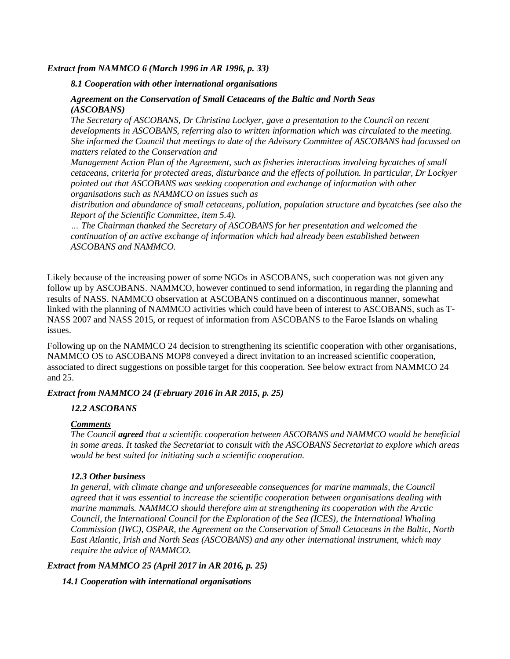#### *Extract from NAMMCO 6 (March 1996 in AR 1996, p. 33)*

#### *8.1 Cooperation with other international organisations*

### *Agreement on the Conservation of Small Cetaceans of the Baltic and North Seas (ASCOBANS)*

*The Secretary of ASCOBANS, Dr Christina Lockyer, gave a presentation to the Council on recent developments in ASCOBANS, referring also to written information which was circulated to the meeting. She informed the Council that meetings to date of the Advisory Committee of ASCOBANS had focussed on matters related to the Conservation and*

*Management Action Plan of the Agreement, such as fisheries interactions involving bycatches of small cetaceans, criteria for protected areas, disturbance and the effects of pollution. In particular, Dr Lockyer pointed out that ASCOBANS was seeking cooperation and exchange of information with other organisations such as NAMMCO on issues such as*

*distribution and abundance of small cetaceans, pollution, population structure and bycatches (see also the Report of the Scientific Committee, item 5.4).*

*… The Chairman thanked the Secretary of ASCOBANS for her presentation and welcomed the continuation of an active exchange of information which had already been established between ASCOBANS and NAMMCO.*

Likely because of the increasing power of some NGOs in ASCOBANS, such cooperation was not given any follow up by ASCOBANS. NAMMCO, however continued to send information, in regarding the planning and results of NASS. NAMMCO observation at ASCOBANS continued on a discontinuous manner, somewhat linked with the planning of NAMMCO activities which could have been of interest to ASCOBANS, such as T-NASS 2007 and NASS 2015, or request of information from ASCOBANS to the Faroe Islands on whaling issues.

Following up on the NAMMCO 24 decision to strengthening its scientific cooperation with other organisations, NAMMCO OS to ASCOBANS MOP8 conveyed a direct invitation to an increased scientific cooperation, associated to direct suggestions on possible target for this cooperation. See below extract from NAMMCO 24 and 25.

### *Extract from NAMMCO 24 (February 2016 in AR 2015, p. 25)*

### *12.2 ASCOBANS*

### *Comments*

*The Council agreed that a scientific cooperation between ASCOBANS and NAMMCO would be beneficial in some areas. It tasked the Secretariat to consult with the ASCOBANS Secretariat to explore which areas would be best suited for initiating such a scientific cooperation.* 

### *12.3 Other business*

*In general, with climate change and unforeseeable consequences for marine mammals, the Council agreed that it was essential to increase the scientific cooperation between organisations dealing with marine mammals. NAMMCO should therefore aim at strengthening its cooperation with the Arctic Council, the International Council for the Exploration of the Sea (ICES), the International Whaling Commission (IWC), OSPAR, the Agreement on the Conservation of Small Cetaceans in the Baltic, North East Atlantic, Irish and North Seas (ASCOBANS) and any other international instrument, which may require the advice of NAMMCO.*

### *Extract from NAMMCO 25 (April 2017 in AR 2016, p. 25)*

### *14.1 Cooperation with international organisations*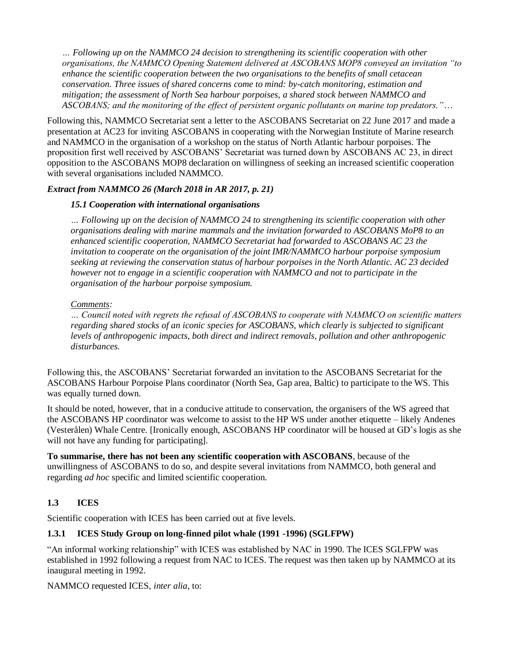*… Following up on the NAMMCO 24 decision to strengthening its scientific cooperation with other organisations, the NAMMCO Opening Statement delivered at ASCOBANS MOP8 conveyed an invitation "to enhance the scientific cooperation between the two organisations to the benefits of small cetacean conservation. Three issues of shared concerns come to mind: by-catch monitoring, estimation and mitigation; the assessment of North Sea harbour porpoises, a shared stock between NAMMCO and ASCOBANS; and the monitoring of the effect of persistent organic pollutants on marine top predators."*…

Following this, NAMMCO Secretariat sent a letter to the ASCOBANS Secretariat on 22 June 2017 and made a presentation at AC23 for inviting ASCOBANS in cooperating with the Norwegian Institute of Marine research and NAMMCO in the organisation of a workshop on the status of North Atlantic harbour porpoises. The proposition first well received by ASCOBANS' Secretariat was turned down by ASCOBANS AC 23, in direct opposition to the ASCOBANS MOP8 declaration on willingness of seeking an increased scientific cooperation with several organisations included NAMMCO.

## *Extract from NAMMCO 26 (March 2018 in AR 2017, p. 21)*

### *15.1 Cooperation with international organisations*

*… Following up on the decision of NAMMCO 24 to strengthening its scientific cooperation with other organisations dealing with marine mammals and the invitation forwarded to ASCOBANS MoP8 to an enhanced scientific cooperation, NAMMCO Secretariat had forwarded to ASCOBANS AC 23 the invitation to cooperate on the organisation of the joint IMR/NAMMCO harbour porpoise symposium seeking at reviewing the conservation status of harbour porpoises in the North Atlantic. AC 23 decided however not to engage in a scientific cooperation with NAMMCO and not to participate in the organisation of the harbour porpoise symposium.* 

### *Comments:*

*… Council noted with regrets the refusal of ASCOBANS to cooperate with NAMMCO on scientific matters regarding shared stocks of an iconic species for ASCOBANS, which clearly is subjected to significant levels of anthropogenic impacts, both direct and indirect removals, pollution and other anthropogenic disturbances.*

Following this, the ASCOBANS' Secretariat forwarded an invitation to the ASCOBANS Secretariat for the ASCOBANS Harbour Porpoise Plans coordinator (North Sea, Gap area, Baltic) to participate to the WS. This was equally turned down.

It should be noted, however, that in a conducive attitude to conservation, the organisers of the WS agreed that the ASCOBANS HP coordinator was welcome to assist to the HP WS under another etiquette – likely Andenes (Vesterålen) Whale Centre. [Ironically enough, ASCOBANS HP coordinator will be housed at GD's logis as she will not have any funding for participating].

**To summarise, there has not been any scientific cooperation with ASCOBANS**, because of the unwillingness of ASCOBANS to do so, and despite several invitations from NAMMCO, both general and regarding *ad hoc* specific and limited scientific cooperation.

# **1.3 ICES**

Scientific cooperation with ICES has been carried out at five levels.

## **1.3.1 ICES Study Group on long-finned pilot whale (1991 -1996) (SGLFPW)**

"An informal working relationship" with ICES was established by NAC in 1990. The ICES SGLFPW was established in 1992 following a request from NAC to ICES. The request was then taken up by NAMMCO at its inaugural meeting in 1992.

NAMMCO requested ICES, *inter alia*, to: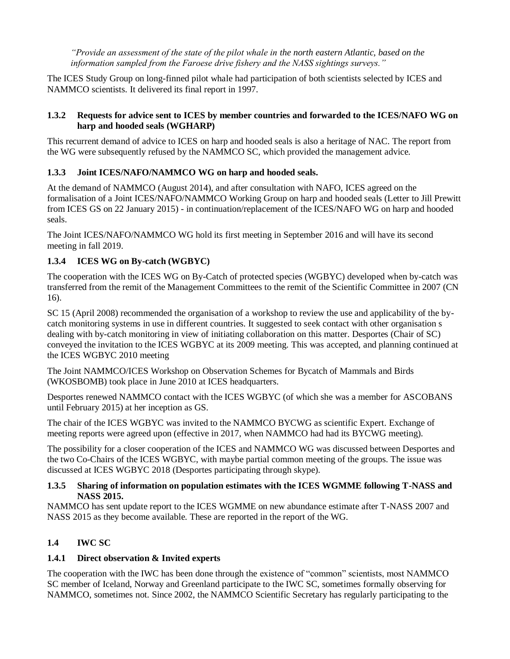*"Provide an assessment of the state of the pilot whale in the north eastern Atlantic, based on the information sampled from the Faroese drive fishery and the NASS sightings surveys."*

The ICES Study Group on long-finned pilot whale had participation of both scientists selected by ICES and NAMMCO scientists. It delivered its final report in 1997.

## **1.3.2 Requests for advice sent to ICES by member countries and forwarded to the ICES/NAFO WG on harp and hooded seals (WGHARP)**

This recurrent demand of advice to ICES on harp and hooded seals is also a heritage of NAC. The report from the WG were subsequently refused by the NAMMCO SC, which provided the management advice.

# **1.3.3 Joint ICES/NAFO/NAMMCO WG on harp and hooded seals.**

At the demand of NAMMCO (August 2014), and after consultation with NAFO, ICES agreed on the formalisation of a Joint ICES/NAFO/NAMMCO Working Group on harp and hooded seals (Letter to Jill Prewitt from ICES GS on 22 January 2015) - in continuation/replacement of the ICES/NAFO WG on harp and hooded seals.

The Joint ICES/NAFO/NAMMCO WG hold its first meeting in September 2016 and will have its second meeting in fall 2019.

# **1.3.4 ICES WG on By-catch (WGBYC)**

The cooperation with the ICES WG on By-Catch of protected species (WGBYC) developed when by-catch was transferred from the remit of the Management Committees to the remit of the Scientific Committee in 2007 (CN 16).

SC 15 (April 2008) recommended the organisation of a workshop to review the use and applicability of the bycatch monitoring systems in use in different countries. It suggested to seek contact with other organisation s dealing with by-catch monitoring in view of initiating collaboration on this matter. Desportes (Chair of SC) conveyed the invitation to the ICES WGBYC at its 2009 meeting. This was accepted, and planning continued at the ICES WGBYC 2010 meeting

The Joint NAMMCO/ICES Workshop on Observation Schemes for Bycatch of Mammals and Birds (WKOSBOMB) took place in June 2010 at ICES headquarters.

Desportes renewed NAMMCO contact with the ICES WGBYC (of which she was a member for ASCOBANS until February 2015) at her inception as GS.

The chair of the ICES WGBYC was invited to the NAMMCO BYCWG as scientific Expert. Exchange of meeting reports were agreed upon (effective in 2017, when NAMMCO had had its BYCWG meeting).

The possibility for a closer cooperation of the ICES and NAMMCO WG was discussed between Desportes and the two Co-Chairs of the ICES WGBYC, with maybe partial common meeting of the groups. The issue was discussed at ICES WGBYC 2018 (Desportes participating through skype).

## **1.3.5 Sharing of information on population estimates with the ICES WGMME following T-NASS and NASS 2015.**

NAMMCO has sent update report to the ICES WGMME on new abundance estimate after T-NASS 2007 and NASS 2015 as they become available. These are reported in the report of the WG.

# **1.4 IWC SC**

# **1.4.1 Direct observation & Invited experts**

The cooperation with the IWC has been done through the existence of "common" scientists, most NAMMCO SC member of Iceland, Norway and Greenland participate to the IWC SC, sometimes formally observing for NAMMCO, sometimes not. Since 2002, the NAMMCO Scientific Secretary has regularly participating to the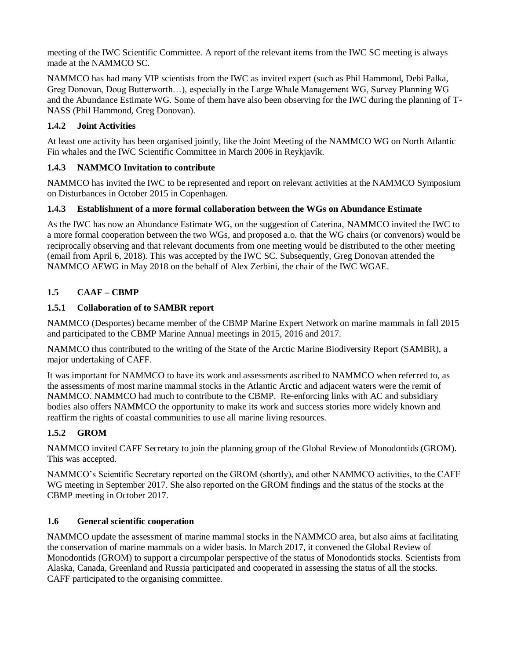meeting of the IWC Scientific Committee. A report of the relevant items from the IWC SC meeting is always made at the NAMMCO SC.

NAMMCO has had many VIP scientists from the IWC as invited expert (such as Phil Hammond, Debi Palka, Greg Donovan, Doug Butterworth…), especially in the Large Whale Management WG, Survey Planning WG and the Abundance Estimate WG. Some of them have also been observing for the IWC during the planning of T-NASS (Phil Hammond, Greg Donovan).

## **1.4.2 Joint Activities**

At least one activity has been organised jointly, like the Joint Meeting of the NAMMCO WG on North Atlantic Fin whales and the IWC Scientific Committee in March 2006 in Reykjavík.

## **1.4.3 NAMMCO Invitation to contribute**

NAMMCO has invited the IWC to be represented and report on relevant activities at the NAMMCO Symposium on Disturbances in October 2015 in Copenhagen.

## **1.4.3 Establishment of a more formal collaboration between the WGs on Abundance Estimate**

As the IWC has now an Abundance Estimate WG, on the suggestion of Caterina, NAMMCO invited the IWC to a more formal cooperation between the two WGs, and proposed a.o. that the WG chairs (or convenors) would be reciprocally observing and that relevant documents from one meeting would be distributed to the other meeting (email from April 6, 2018). This was accepted by the IWC SC. Subsequently, Greg Donovan attended the NAMMCO AEWG in May 2018 on the behalf of Alex Zerbini, the chair of the IWC WGAE.

# **1.5 CAAF – CBMP**

## **1.5.1 Collaboration of to SAMBR report**

NAMMCO (Desportes) became member of the CBMP Marine Expert Network on marine mammals in fall 2015 and participated to the CBMP Marine Annual meetings in 2015, 2016 and 2017.

NAMMCO thus contributed to the writing of the State of the Arctic Marine Biodiversity Report (SAMBR), a major undertaking of CAFF.

It was important for NAMMCO to have its work and assessments ascribed to NAMMCO when referred to, as the assessments of most marine mammal stocks in the Atlantic Arctic and adjacent waters were the remit of NAMMCO. NAMMCO had much to contribute to the CBMP. Re-enforcing links with AC and subsidiary bodies also offers NAMMCO the opportunity to make its work and success stories more widely known and reaffirm the rights of coastal communities to use all marine living resources.

# **1.5.2 GROM**

NAMMCO invited CAFF Secretary to join the planning group of the Global Review of Monodontids (GROM). This was accepted.

NAMMCO's Scientific Secretary reported on the GROM (shortly), and other NAMMCO activities, to the CAFF WG meeting in September 2017. She also reported on the GROM findings and the status of the stocks at the CBMP meeting in October 2017.

## **1.6 General scientific cooperation**

NAMMCO update the assessment of marine mammal stocks in the NAMMCO area, but also aims at facilitating the conservation of marine mammals on a wider basis. In March 2017, it convened the Global Review of Monodontids (GROM) to support a circumpolar perspective of the status of Monodontids stocks. Scientists from Alaska, Canada, Greenland and Russia participated and cooperated in assessing the status of all the stocks. CAFF participated to the organising committee.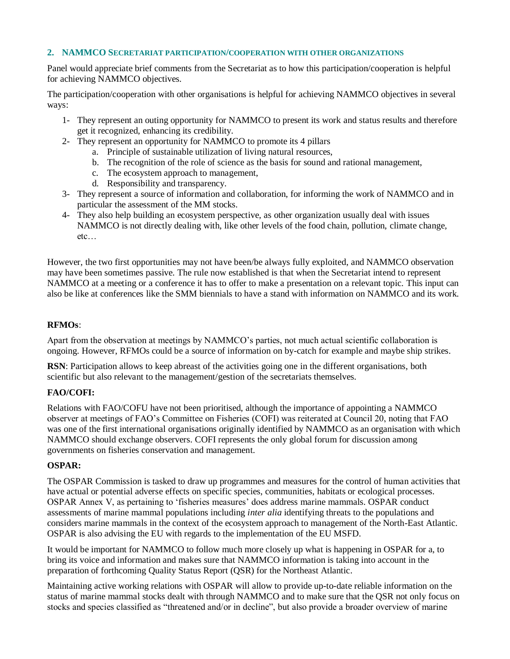### **2. NAMMCO SECRETARIAT PARTICIPATION/COOPERATION WITH OTHER ORGANIZATIONS**

Panel would appreciate brief comments from the Secretariat as to how this participation/cooperation is helpful for achieving NAMMCO objectives.

The participation/cooperation with other organisations is helpful for achieving NAMMCO objectives in several ways:

- 1- They represent an outing opportunity for NAMMCO to present its work and status results and therefore get it recognized, enhancing its credibility.
- 2- They represent an opportunity for NAMMCO to promote its 4 pillars
	- a. Principle of sustainable utilization of living natural resources,
	- b. The recognition of the role of science as the basis for sound and rational management,
	- c. The ecosystem approach to management,
	- d. Responsibility and transparency.
- 3- They represent a source of information and collaboration, for informing the work of NAMMCO and in particular the assessment of the MM stocks.
- 4- They also help building an ecosystem perspective, as other organization usually deal with issues NAMMCO is not directly dealing with, like other levels of the food chain, pollution, climate change, etc…

However, the two first opportunities may not have been/be always fully exploited, and NAMMCO observation may have been sometimes passive. The rule now established is that when the Secretariat intend to represent NAMMCO at a meeting or a conference it has to offer to make a presentation on a relevant topic. This input can also be like at conferences like the SMM biennials to have a stand with information on NAMMCO and its work.

#### **RFMOs**:

Apart from the observation at meetings by NAMMCO's parties, not much actual scientific collaboration is ongoing. However, RFMOs could be a source of information on by-catch for example and maybe ship strikes.

**RSN**: Participation allows to keep abreast of the activities going one in the different organisations, both scientific but also relevant to the management/gestion of the secretariats themselves.

#### **FAO/COFI:**

Relations with FAO/COFU have not been prioritised, although the importance of appointing a NAMMCO observer at meetings of FAO's Committee on Fisheries (COFI) was reiterated at Council 20, noting that FAO was one of the first international organisations originally identified by NAMMCO as an organisation with which NAMMCO should exchange observers. COFI represents the only global forum for discussion among governments on fisheries conservation and management.

#### **OSPAR:**

The OSPAR Commission is tasked to draw up programmes and measures for the control of human activities that have actual or potential adverse effects on specific species, communities, habitats or ecological processes. OSPAR Annex V, as pertaining to 'fisheries measures' does address marine mammals. OSPAR conduct assessments of marine mammal populations including *inter alia* identifying threats to the populations and considers marine mammals in the context of the ecosystem approach to management of the North-East Atlantic. OSPAR is also advising the EU with regards to the implementation of the EU MSFD.

It would be important for NAMMCO to follow much more closely up what is happening in OSPAR for a, to bring its voice and information and makes sure that NAMMCO information is taking into account in the preparation of forthcoming Quality Status Report (QSR) for the Northeast Atlantic.

Maintaining active working relations with OSPAR will allow to provide up-to-date reliable information on the status of marine mammal stocks dealt with through NAMMCO and to make sure that the QSR not only focus on stocks and species classified as "threatened and/or in decline", but also provide a broader overview of marine